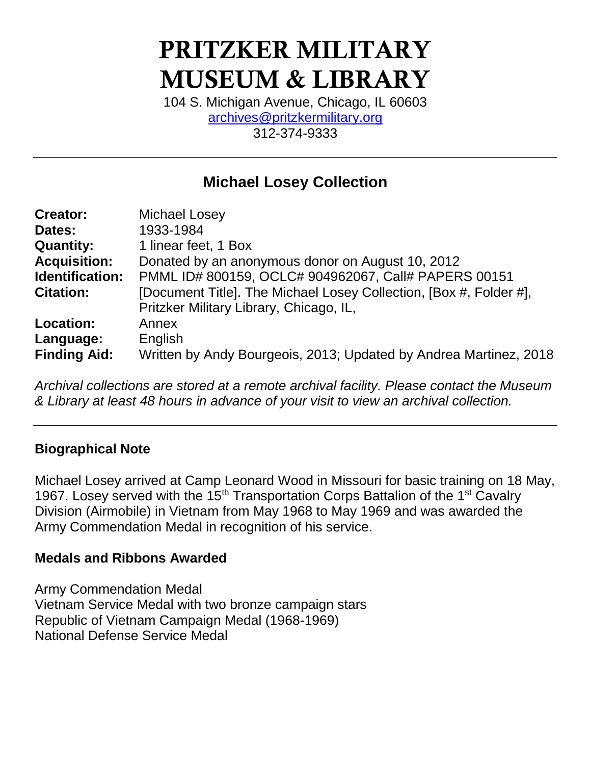# PRITZKER MILITARY MUSEUM & LIBRARY

104 S. Michigan Avenue, Chicago, IL 60603 [archives@pritzkermilitary.org](mailto:archives@pritzkermilitary.org) 312-374-9333

# **Michael Losey Collection**

| <b>Creator:</b>     | <b>Michael Losey</b>                                               |
|---------------------|--------------------------------------------------------------------|
| Dates:              | 1933-1984                                                          |
| <b>Quantity:</b>    | 1 linear feet, 1 Box                                               |
| <b>Acquisition:</b> | Donated by an anonymous donor on August 10, 2012                   |
| Identification:     | PMML ID# 800159, OCLC# 904962067, Call# PAPERS 00151               |
| <b>Citation:</b>    | [Document Title]. The Michael Losey Collection, [Box #, Folder #], |
|                     | Pritzker Military Library, Chicago, IL,                            |
| <b>Location:</b>    | Annex                                                              |
| Language:           | English                                                            |
| <b>Finding Aid:</b> | Written by Andy Bourgeois, 2013; Updated by Andrea Martinez, 2018  |

*Archival collections are stored at a remote archival facility. Please contact the Museum & Library at least 48 hours in advance of your visit to view an archival collection.*

#### **Biographical Note**

Michael Losey arrived at Camp Leonard Wood in Missouri for basic training on 18 May, 1967. Losey served with the  $15<sup>th</sup>$  Transportation Corps Battalion of the 1<sup>st</sup> Cavalry Division (Airmobile) in Vietnam from May 1968 to May 1969 and was awarded the Army Commendation Medal in recognition of his service.

#### **Medals and Ribbons Awarded**

Army Commendation Medal Vietnam Service Medal with two bronze campaign stars Republic of Vietnam Campaign Medal (1968-1969) National Defense Service Medal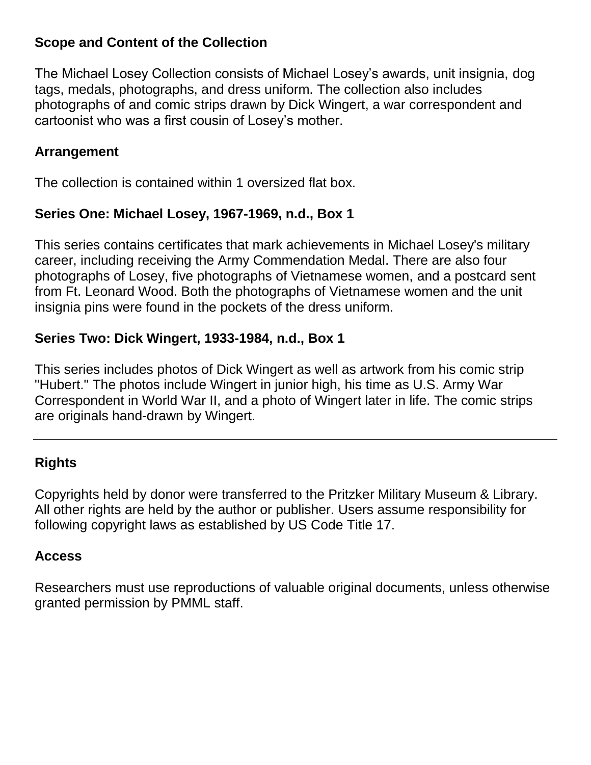## **Scope and Content of the Collection**

The Michael Losey Collection consists of Michael Losey's awards, unit insignia, dog tags, medals, photographs, and dress uniform. The collection also includes photographs of and comic strips drawn by Dick Wingert, a war correspondent and cartoonist who was a first cousin of Losey's mother.

### **Arrangement**

The collection is contained within 1 oversized flat box.

### **Series One: Michael Losey, 1967-1969, n.d., Box 1**

This series contains certificates that mark achievements in Michael Losey's military career, including receiving the Army Commendation Medal. There are also four photographs of Losey, five photographs of Vietnamese women, and a postcard sent from Ft. Leonard Wood. Both the photographs of Vietnamese women and the unit insignia pins were found in the pockets of the dress uniform.

# **Series Two: Dick Wingert, 1933-1984, n.d., Box 1**

This series includes photos of Dick Wingert as well as artwork from his comic strip "Hubert." The photos include Wingert in junior high, his time as U.S. Army War Correspondent in World War II, and a photo of Wingert later in life. The comic strips are originals hand-drawn by Wingert.

# **Rights**

Copyrights held by donor were transferred to the Pritzker Military Museum & Library. All other rights are held by the author or publisher. Users assume responsibility for following copyright laws as established by US Code Title 17.

#### **Access**

Researchers must use reproductions of valuable original documents, unless otherwise granted permission by PMML staff.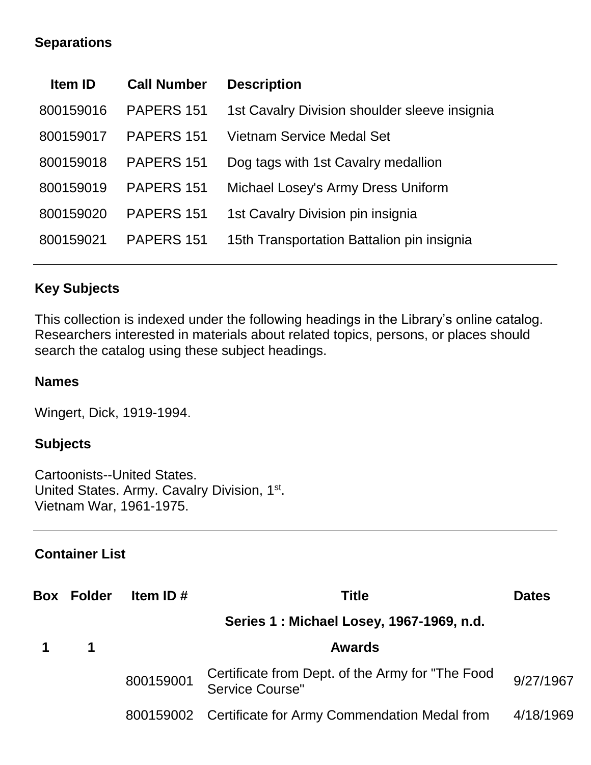## **Separations**

| <b>Item ID</b> | <b>Call Number</b> | <b>Description</b>                            |
|----------------|--------------------|-----------------------------------------------|
| 800159016      | PAPERS 151         | 1st Cavalry Division shoulder sleeve insignia |
| 800159017      | PAPERS 151         | Vietnam Service Medal Set                     |
| 800159018      | PAPERS 151         | Dog tags with 1st Cavalry medallion           |
| 800159019      | PAPERS 151         | Michael Losey's Army Dress Uniform            |
| 800159020      | PAPERS 151         | 1st Cavalry Division pin insignia             |
| 800159021      | PAPERS 151         | 15th Transportation Battalion pin insignia    |
|                |                    |                                               |

### **Key Subjects**

This collection is indexed under the following headings in the Library's online catalog. Researchers interested in materials about related topics, persons, or places should search the catalog using these subject headings.

#### **Names**

Wingert, Dick, 1919-1994.

#### **Subjects**

Cartoonists--United States. United States. Army. Cavalry Division, 1<sup>st</sup>. Vietnam War, 1961-1975.

# **Container List**

| <b>Box Folder</b> | Item ID $#$ | <b>Title</b>                                                         | <b>Dates</b> |
|-------------------|-------------|----------------------------------------------------------------------|--------------|
|                   |             | Series 1: Michael Losey, 1967-1969, n.d.                             |              |
| $\blacksquare$    |             | <b>Awards</b>                                                        |              |
|                   | 800159001   | Certificate from Dept. of the Army for "The Food"<br>Service Course" | 9/27/1967    |
|                   |             | 800159002 Certificate for Army Commendation Medal from               | 4/18/1969    |
|                   |             |                                                                      |              |